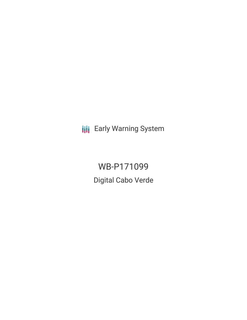**III** Early Warning System

WB-P171099 Digital Cabo Verde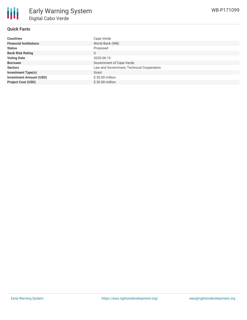# **Quick Facts**

| <b>Countries</b>               | Cape Verde                                |
|--------------------------------|-------------------------------------------|
| <b>Financial Institutions</b>  | World Bank (WB)                           |
| <b>Status</b>                  | Proposed                                  |
| <b>Bank Risk Rating</b>        | U                                         |
| <b>Voting Date</b>             | 2020-06-15                                |
| <b>Borrower</b>                | Government of Cape Verde                  |
| <b>Sectors</b>                 | Law and Government, Technical Cooperation |
| <b>Investment Type(s)</b>      | Grant                                     |
| <b>Investment Amount (USD)</b> | \$30.00 million                           |
| <b>Project Cost (USD)</b>      | \$30.00 million                           |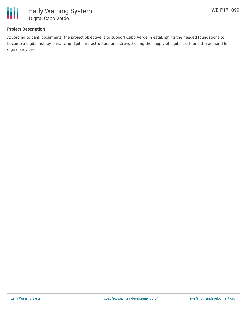

# **Project Description**

According to bank documents, the project objective is to support Cabo Verde in establishing the needed foundations to become a digital hub by enhancing digital infrastructure and strengthening the supply of digital skills and the demand for digital services.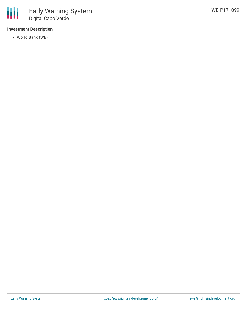

# **Investment Description**

World Bank (WB)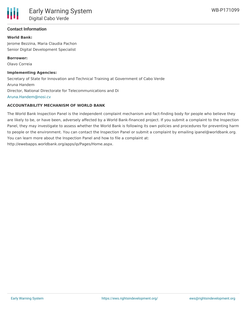## **Contact Information**

#### **World Bank:**

Jerome Bezzina, Maria Claudia Pachon Senior Digital Development Specialist

**Borrower:** Olavo Correia

#### **Implementing Agencies:**

Secretary of State for Innovation and Technical Training at Government of Cabo Verde Aruna Handem Director, National Directorate for Telecommunications and Di [Aruna.Handem@nosi.cv](mailto:Aruna.Handem@nosi.cv)

## **ACCOUNTABILITY MECHANISM OF WORLD BANK**

The World Bank Inspection Panel is the independent complaint mechanism and fact-finding body for people who believe they are likely to be, or have been, adversely affected by a World Bank-financed project. If you submit a complaint to the Inspection Panel, they may investigate to assess whether the World Bank is following its own policies and procedures for preventing harm to people or the environment. You can contact the Inspection Panel or submit a complaint by emailing ipanel@worldbank.org. You can learn more about the Inspection Panel and how to file a complaint at: http://ewebapps.worldbank.org/apps/ip/Pages/Home.aspx.